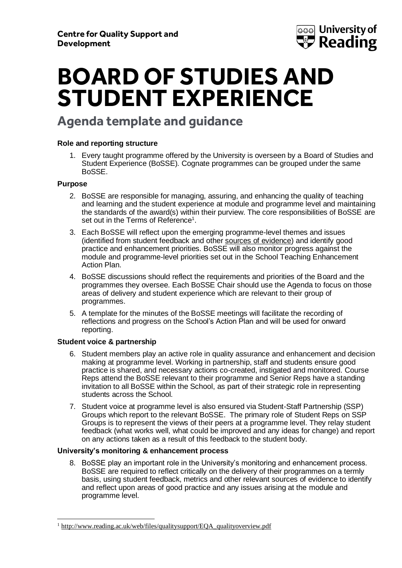

## **BOARD OF STUDIES AND STUDENT EXPERIENCE**

## **Agenda template and guidance**

#### **Role and reporting structure**

1. Every taught programme offered by the University is overseen by a Board of Studies and Student Experience (BoSSE). Cognate programmes can be grouped under the same BoSSE.

#### **Purpose**

- 2. BoSSE are responsible for managing, assuring, and enhancing the quality of teaching and learning and the student experience at module and programme level and maintaining the standards of the award(s) within their purview. The core responsibilities of BoSSE are set out in the Terms of Reference $^{\text{\tiny{\textup{1}}}}$ .
- 3. Each BoSSE will reflect upon the emerging programme-level themes and issues (identified from student feedback and other sources [of evidence\)](#page-4-0) and identify good practice and enhancement priorities. BoSSE will also monitor progress against the module and programme-level priorities set out in the School Teaching Enhancement Action Plan.
- 4. BoSSE discussions should reflect the requirements and priorities of the Board and the programmes they oversee. Each BoSSE Chair should use the Agenda to focus on those areas of delivery and student experience which are relevant to their group of programmes.
- 5. A template for the minutes of the BoSSE meetings will facilitate the recording of reflections and progress on the School's Action Plan and will be used for onward reporting.

#### **Student voice & partnership**

- 6. Student members play an active role in quality assurance and enhancement and decision making at programme level. Working in partnership, staff and students ensure good practice is shared, and necessary actions co-created, instigated and monitored. Course Reps attend the BoSSE relevant to their programme and Senior Reps have a standing invitation to all BoSSE within the School, as part of their strategic role in representing students across the School.
- 7. Student voice at programme level is also ensured via Student-Staff Partnership (SSP) Groups which report to the relevant BoSSE. The primary role of Student Reps on SSP Groups is to represent the views of their peers at a programme level. They relay student feedback (what works well, what could be improved and any ideas for change) and report on any actions taken as a result of this feedback to the student body.

#### **University's monitoring & enhancement process**

8. BoSSE play an important role in the University's monitoring and enhancement process. BoSSE are required to reflect critically on the delivery of their programmes on a termly basis, using student feedback, metrics and other relevant sources of evidence to identify and reflect upon areas of good practice and any issues arising at the module and programme level.

<sup>&</sup>lt;sup>1</sup> [http://www.reading.ac.uk/web/files/qualitysupport/EQA\\_qualityoverview.pdf](http://www.reading.ac.uk/web/files/qualitysupport/EQA_qualityoverview.pdf)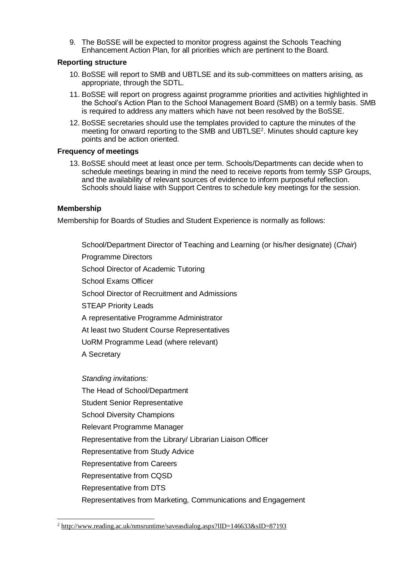9. The BoSSE will be expected to monitor progress against the Schools Teaching Enhancement Action Plan, for all priorities which are pertinent to the Board.

#### **Reporting structure**

- 10. BoSSE will report to SMB and UBTLSE and its sub-committees on matters arising, as appropriate, through the SDTL.
- 11. BoSSE will report on progress against programme priorities and activities highlighted in the School's Action Plan to the School Management Board (SMB) on a termly basis. SMB is required to address any matters which have not been resolved by the BoSSE.
- 12. BoSSE secretaries should use the templates provided to capture the minutes of the meeting for onward reporting to the SMB and UBTLSE<sup>2</sup>. Minutes should capture key points and be action oriented.

#### **Frequency of meetings**

13. BoSSE should meet at least once per term. Schools/Departments can decide when to schedule meetings bearing in mind the need to receive reports from termly SSP Groups, and the availability of relevant sources of evidence to inform purposeful reflection. Schools should liaise with Support Centres to schedule key meetings for the session.

#### **Membership**

Membership for Boards of Studies and Student Experience is normally as follows:

School/Department Director of Teaching and Learning (or his/her designate) (*Chair*) Programme Directors School Director of Academic Tutoring School Exams Officer School Director of Recruitment and Admissions STEAP Priority Leads A representative Programme Administrator At least two Student Course Representatives UoRM Programme Lead (where relevant) A Secretary *Standing invitations:* The Head of School/Department Student Senior Representative School Diversity Champions

- Relevant Programme Manager
- Representative from the Library/ Librarian Liaison Officer
- Representative from Study Advice
- Representative from Careers
- Representative from CQSD
- Representative from DTS
- Representatives from Marketing, Communications and Engagement

<sup>2</sup> <http://www.reading.ac.uk/nmsruntime/saveasdialog.aspx?lID=146633&sID=87193>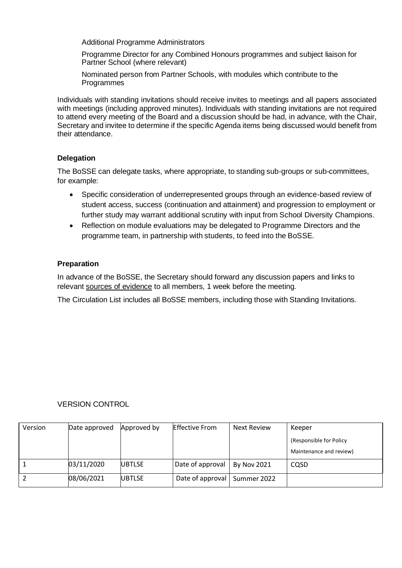Additional Programme Administrators

Programme Director for any Combined Honours programmes and subject liaison for Partner School (where relevant)

Nominated person from Partner Schools, with modules which contribute to the Programmes

Individuals with standing invitations should receive invites to meetings and all papers associated with meetings (including approved minutes). Individuals with standing invitations are not required to attend every meeting of the Board and a discussion should be had, in advance, with the Chair, Secretary and invitee to determine if the specific Agenda items being discussed would benefit from their attendance.

#### **Delegation**

The BoSSE can delegate tasks, where appropriate, to standing sub-groups or sub-committees, for example:

- Specific consideration of underrepresented groups through an evidence-based review of student access, success (continuation and attainment) and progression to employment or further study may warrant additional scrutiny with input from School Diversity Champions.
- Reflection on module evaluations may be delegated to Programme Directors and the programme team, in partnership with students, to feed into the BoSSE.

#### **Preparation**

In advance of the BoSSE, the Secretary should forward any discussion papers and links to relevant [sources of evidence](#page-4-0) to all members, 1 week before the meeting.

The Circulation List includes all BoSSE members, including those with Standing Invitations.

#### VERSION CONTROL

| Version | Date approved | Approved by   | <b>Effective From</b> | Next Review        | Keeper                  |
|---------|---------------|---------------|-----------------------|--------------------|-------------------------|
|         |               |               |                       |                    | (Responsible for Policy |
|         |               |               |                       |                    | Maintenance and review) |
|         | 03/11/2020    | <b>UBTLSE</b> | Date of approval      | <b>By Nov 2021</b> | CQSD                    |
|         | 08/06/2021    | <b>UBTLSE</b> | Date of approval      | Summer 2022        |                         |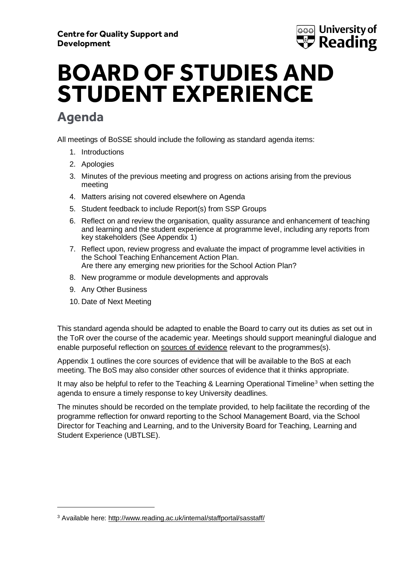

# **BOARD OF STUDIES AND STUDENT EXPERIENCE**

## **Agenda**

All meetings of BoSSE should include the following as standard agenda items:

- 1. Introductions
- 2. Apologies
- 3. Minutes of the previous meeting and progress on actions arising from the previous meeting
- 4. Matters arising not covered elsewhere on Agenda
- 5. Student feedback to include Report(s) from SSP Groups
- 6. Reflect on and review the organisation, quality assurance and enhancement of teaching and learning and the student experience at programme level, including any reports from key stakeholders (See Appendix 1)
- 7. Reflect upon, review progress and evaluate the impact of programme level activities in the School Teaching Enhancement Action Plan. Are there any emerging new priorities for the School Action Plan?
- 8. New programme or module developments and approvals
- 9. Any Other Business
- 10. Date of Next Meeting

This standard agenda should be adapted to enable the Board to carry out its duties as set out in the ToR over the course of the academic year. Meetings should support meaningful dialogue and enable purposeful reflection on [sources of evidence](#page-4-0) relevant to the programmes(s).

Appendix 1 outlines the core sources of evidence that will be available to the BoS at each meeting. The BoS may also consider other sources of evidence that it thinks appropriate.

It may also be helpful to refer to the Teaching & Learning Operational Timeline<sup>3</sup> when setting the agenda to ensure a timely response to key University deadlines.

The minutes should be recorded on the template provided, to help facilitate the recording of the programme reflection for onward reporting to the School Management Board, via the School Director for Teaching and Learning, and to the University Board for Teaching, Learning and Student Experience (UBTLSE).

<sup>3</sup> Available here:<http://www.reading.ac.uk/internal/staffportal/sasstaff/>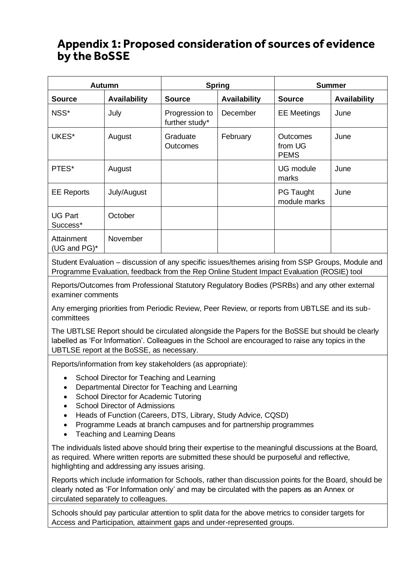### <span id="page-4-0"></span>**Appendix 1: Proposed consideration of sources of evidence by the BoSSE**

| <b>Autumn</b>                 |                     |                                  | <b>Spring</b> | <b>Summer</b>                             |                     |
|-------------------------------|---------------------|----------------------------------|---------------|-------------------------------------------|---------------------|
| <b>Source</b>                 | <b>Availability</b> | <b>Source</b>                    | Availability  | <b>Source</b>                             | <b>Availability</b> |
| NSS*                          | July                | Progression to<br>further study* | December      | <b>EE</b> Meetings                        | June                |
| UKES*                         | August              | Graduate<br><b>Outcomes</b>      | February      | <b>Outcomes</b><br>from UG<br><b>PEMS</b> | June                |
| PTES*                         | August              |                                  |               | <b>UG</b> module<br>marks                 | June                |
| <b>EE Reports</b>             | July/August         |                                  |               | <b>PG Taught</b><br>module marks          | June                |
| <b>UG Part</b><br>Success*    | October             |                                  |               |                                           |                     |
| Attainment<br>(UG and $PG$ )* | November            |                                  |               |                                           |                     |

Student Evaluation – discussion of any specific issues/themes arising from SSP Groups, Module and Programme Evaluation, feedback from the Rep Online Student Impact Evaluation (ROSIE) tool

Reports/Outcomes from Professional Statutory Regulatory Bodies (PSRBs) and any other external examiner comments

Any emerging priorities from Periodic Review, Peer Review, or reports from UBTLSE and its subcommittees

The UBTLSE Report should be circulated alongside the Papers for the BoSSE but should be clearly labelled as 'For Information'. Colleagues in the School are encouraged to raise any topics in the UBTLSE report at the BoSSE, as necessary.

Reports/information from key stakeholders (as appropriate):

- School Director for Teaching and Learning
- Departmental Director for Teaching and Learning
- School Director for Academic Tutoring
- School Director of Admissions
- Heads of Function (Careers, DTS, Library, Study Advice, CQSD)
- Programme Leads at branch campuses and for partnership programmes
- Teaching and Learning Deans

The individuals listed above should bring their expertise to the meaningful discussions at the Board, as required. Where written reports are submitted these should be purposeful and reflective, highlighting and addressing any issues arising.

Reports which include information for Schools, rather than discussion points for the Board, should be clearly noted as 'For Information only' and may be circulated with the papers as an Annex or circulated separately to colleagues.

Schools should pay particular attention to split data for the above metrics to consider targets for Access and Participation, attainment gaps and under-represented groups.